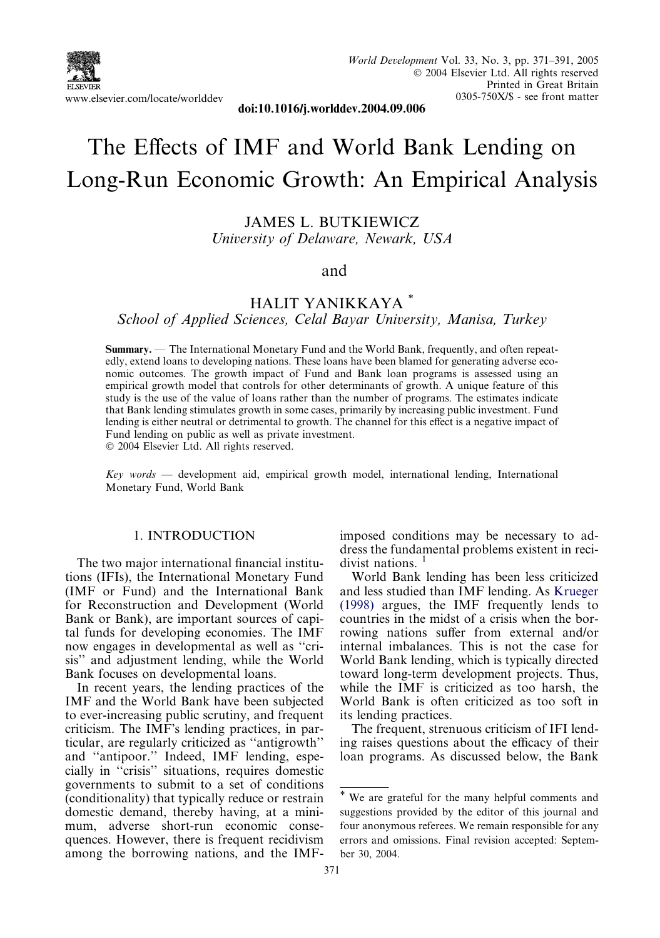

doi:10.1016/j.worlddev.2004.09.006

# The Effects of IMF and World Bank Lending on Long-Run Economic Growth: An Empirical Analysis

JAMES L. BUTKIEWICZ University of Delaware, Newark, USA

#### and

### HALIT YANIKKAYA \*

School of Applied Sciences, Celal Bayar University, Manisa, Turkey

Summary. — The International Monetary Fund and the World Bank, frequently, and often repeatedly, extend loans to developing nations. These loans have been blamed for generating adverse economic outcomes. The growth impact of Fund and Bank loan programs is assessed using an empirical growth model that controls for other determinants of growth. Aunique feature of this study is the use of the value of loans rather than the number of programs. The estimates indicate that Bank lending stimulates growth in some cases, primarily by increasing public investment. Fund lending is either neutral or detrimental to growth. The channel for this effect is a negative impact of Fund lending on public as well as private investment.

2004 Elsevier Ltd. All rights reserved.

 $Key words$  — development aid, empirical growth model, international lending, International Monetary Fund, World Bank

#### 1. INTRODUCTION

The two major international financial institutions (IFIs), the International Monetary Fund (IMF or Fund) and the International Bank for Reconstruction and Development (World Bank or Bank), are important sources of capital funds for developing economies. The IMF now engages in developmental as well as ''crisis'' and adjustment lending, while the World Bank focuses on developmental loans.

In recent years, the lending practices of the IMF and the World Bank have been subjected to ever-increasing public scrutiny, and frequent criticism. The IMF's lending practices, in particular, are regularly criticized as ''antigrowth'' and ''antipoor.'' Indeed, IMF lending, especially in ''crisis'' situations, requires domestic governments to submit to a set of conditions (conditionality) that typically reduce or restrain domestic demand, thereby having, at a minimum, adverse short-run economic consequences. However, there is frequent recidivism among the borrowing nations, and the IMF- imposed conditions may be necessary to address the fundamental problems existent in recidivist nations.  $<sup>1</sup>$ </sup>

World Bank lending has been less criticized and less studied than IMF lending. As [Krueger](#page--1-0) [\(1998\)](#page--1-0) argues, the IMF frequently lends to countries in the midst of a crisis when the borrowing nations suffer from external and/or internal imbalances. This is not the case for World Bank lending, which is typically directed toward long-term development projects. Thus, while the IMF is criticized as too harsh, the World Bank is often criticized as too soft in its lending practices.

The frequent, strenuous criticism of IFI lending raises questions about the efficacy of their loan programs. As discussed below, the Bank

<sup>\*</sup> We are grateful for the many helpful comments and suggestions provided by the editor of this journal and four anonymous referees. We remain responsible for any errors and omissions. Final revision accepted: September 30, 2004.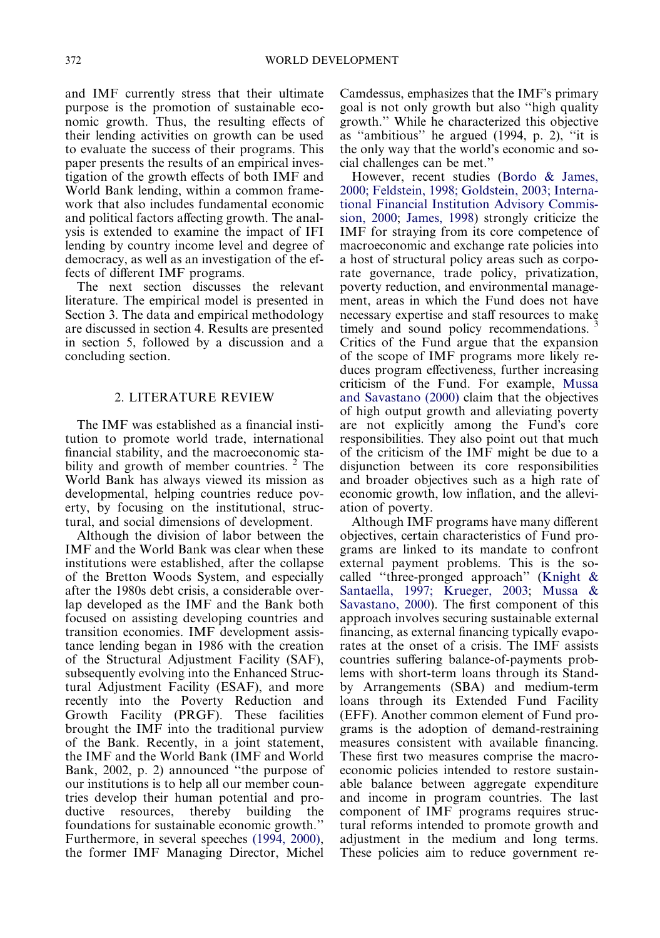and IMF currently stress that their ultimate purpose is the promotion of sustainable economic growth. Thus, the resulting effects of their lending activities on growth can be used to evaluate the success of their programs. This paper presents the results of an empirical investigation of the growth effects of both IMF and World Bank lending, within a common framework that also includes fundamental economic and political factors affecting growth. The analysis is extended to examine the impact of IFI lending by country income level and degree of democracy, as well as an investigation of the effects of different IMF programs.

The next section discusses the relevant literature. The empirical model is presented in Section 3. The data and empirical methodology are discussed in section 4. Results are presented in section 5, followed by a discussion and a concluding section.

#### 2. LITERATURE REVIEW

The IMF was established as a financial institution to promote world trade, international financial stability, and the macroeconomic stability and growth of member countries. <sup>2</sup> The World Bank has always viewed its mission as developmental, helping countries reduce poverty, by focusing on the institutional, structural, and social dimensions of development.

Although the division of labor between the IMF and the World Bank was clear when these institutions were established, after the collapse of the Bretton Woods System, and especially after the 1980s debt crisis, a considerable overlap developed as the IMF and the Bank both focused on assisting developing countries and transition economies. IMF development assistance lending began in 1986 with the creation of the Structural Adjustment Facility (SAF), subsequently evolving into the Enhanced Structural Adjustment Facility (ESAF), and more recently into the Poverty Reduction and Growth Facility (PRGF). These facilities brought the IMF into the traditional purview of the Bank. Recently, in a joint statement, the IMF and the World Bank (IMF and World Bank, 2002, p. 2) announced ''the purpose of our institutions is to help all our member countries develop their human potential and productive resources, thereby building the foundations for sustainable economic growth.'' Furthermore, in several speeches [\(1994, 2000\),](#page--1-0) the former IMF Managing Director, Michel

Camdessus, emphasizes that the IMF's primary goal is not only growth but also ''high quality growth.'' While he characterized this objective as ''ambitious'' he argued (1994, p. 2), ''it is the only way that the world's economic and social challenges can be met.''

However, recent studies [\(Bordo & James,](#page--1-0) [2000; Feldstein, 1998; Goldstein, 2003; Interna](#page--1-0)[tional Financial Institution Advisory Commis](#page--1-0)[sion, 2000;](#page--1-0) [James, 1998\)](#page--1-0) strongly criticize the IMF for straying from its core competence of macroeconomic and exchange rate policies into a host of structural policy areas such as corporate governance, trade policy, privatization, poverty reduction, and environmental management, areas in which the Fund does not have necessary expertise and staff resources to make timely and sound policy recommendations.  $3$ Critics of the Fund argue that the expansion of the scope of IMF programs more likely reduces program effectiveness, further increasing criticism of the Fund. For example, [Mussa](#page--1-0) [and Savastano \(2000\)](#page--1-0) claim that the objectives of high output growth and alleviating poverty are not explicitly among the Fund's core responsibilities. They also point out that much of the criticism of the IMF might be due to a disjunction between its core responsibilities and broader objectives such as a high rate of economic growth, low inflation, and the alleviation of poverty.

Although IMF programs have many different objectives, certain characteristics of Fund programs are linked to its mandate to confront external payment problems. This is the socalled ''three-pronged approach'' ([Knight &](#page--1-0) [Santaella, 1997; Krueger, 2003;](#page--1-0) [Mussa &](#page--1-0) [Savastano, 2000](#page--1-0)). The first component of this approach involves securing sustainable external financing, as external financing typically evaporates at the onset of a crisis. The IMF assists countries suffering balance-of-payments problems with short-term loans through its Standby Arrangements (SBA) and medium-term loans through its Extended Fund Facility (EFF). Another common element of Fund programs is the adoption of demand-restraining measures consistent with available financing. These first two measures comprise the macroeconomic policies intended to restore sustainable balance between aggregate expenditure and income in program countries. The last component of IMF programs requires structural reforms intended to promote growth and adjustment in the medium and long terms. These policies aim to reduce government re-